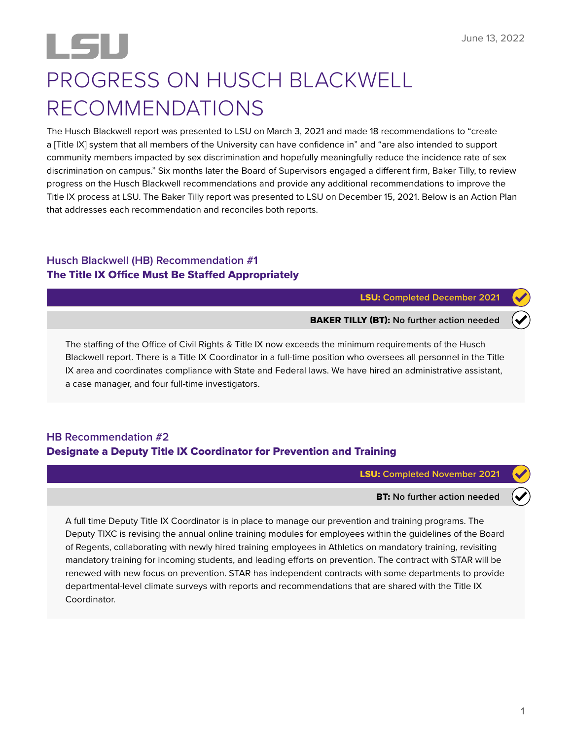# PROGRESS ON HUSCH BLACKWELL RECOMMENDATIONS

The Husch Blackwell report was presented to LSU on March 3, 2021 and made 18 recommendations to "create a [Title IX] system that all members of the University can have confidence in" and "are also intended to support community members impacted by sex discrimination and hopefully meaningfully reduce the incidence rate of sex discrimination on campus." Six months later the Board of Supervisors engaged a different firm, Baker Tilly, to review progress on the Husch Blackwell recommendations and provide any additional recommendations to improve the Title IX process at LSU. The Baker Tilly report was presented to LSU on December 15, 2021. Below is an Action Plan that addresses each recommendation and reconciles both reports.

## **Husch Blackwell (HB) Recommendation #1**  The Title IX Office Must Be Staffed Appropriately

LSU: **Completed December 2021**

BAKER TILLY (BT): **No further action needed**

The staffing of the Office of Civil Rights & Title IX now exceeds the minimum requirements of the Husch Blackwell report. There is a Title IX Coordinator in a full-time position who oversees all personnel in the Title IX area and coordinates compliance with State and Federal laws. We have hired an administrative assistant, a case manager, and four full-time investigators.

### **HB Recommendation #2**  Designate a Deputy Title IX Coordinator for Prevention and Training

LSU: **Completed November 2021**

BT: **No further action needed**

A full time Deputy Title IX Coordinator is in place to manage our prevention and training programs. The Deputy TIXC is revising the annual online training modules for employees within the guidelines of the Board of Regents, collaborating with newly hired training employees in Athletics on mandatory training, revisiting mandatory training for incoming students, and leading efforts on prevention. The contract with STAR will be renewed with new focus on prevention. STAR has independent contracts with some departments to provide departmental-level climate surveys with reports and recommendations that are shared with the Title IX Coordinator.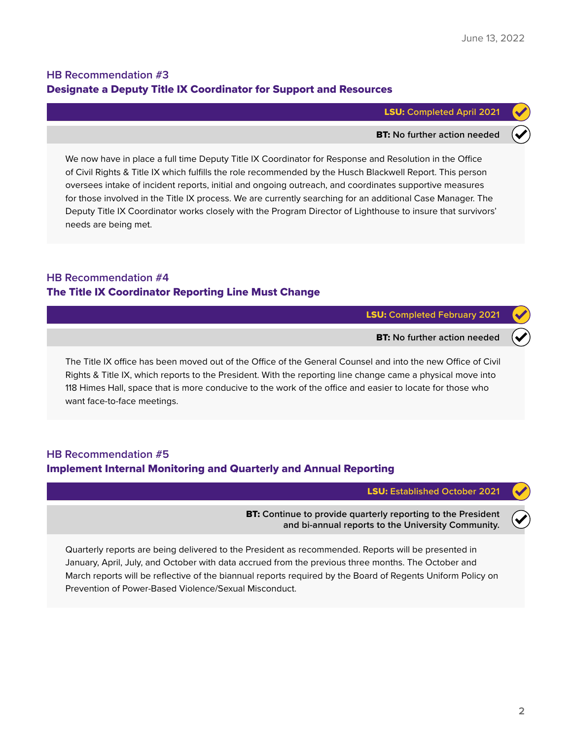## **HB Recommendation #3**  Designate a Deputy Title IX Coordinator for Support and Resources

#### LSU: **Completed April 2021**

#### BT: **No further action needed**

We now have in place a full time Deputy Title IX Coordinator for Response and Resolution in the Office of Civil Rights & Title IX which fulfills the role recommended by the Husch Blackwell Report. This person oversees intake of incident reports, initial and ongoing outreach, and coordinates supportive measures for those involved in the Title IX process. We are currently searching for an additional Case Manager. The Deputy Title IX Coordinator works closely with the Program Director of Lighthouse to insure that survivors' needs are being met.

#### **HB Recommendation #4**  The Title IX Coordinator Reporting Line Must Change

LSU: **Completed February 2021**

BT: **No further action needed**

The Title IX office has been moved out of the Office of the General Counsel and into the new Office of Civil Rights & Title IX, which reports to the President. With the reporting line change came a physical move into 118 Himes Hall, space that is more conducive to the work of the office and easier to locate for those who want face-to-face meetings.

#### **HB Recommendation #5**  Implement Internal Monitoring and Quarterly and Annual Reporting

LSU: **Established October 2021**

BT: **Continue to provide quarterly reporting to the President and bi-annual reports to the University Community.**

Quarterly reports are being delivered to the President as recommended. Reports will be presented in January, April, July, and October with data accrued from the previous three months. The October and March reports will be reflective of the biannual reports required by the Board of Regents Uniform Policy on Prevention of Power-Based Violence/Sexual Misconduct.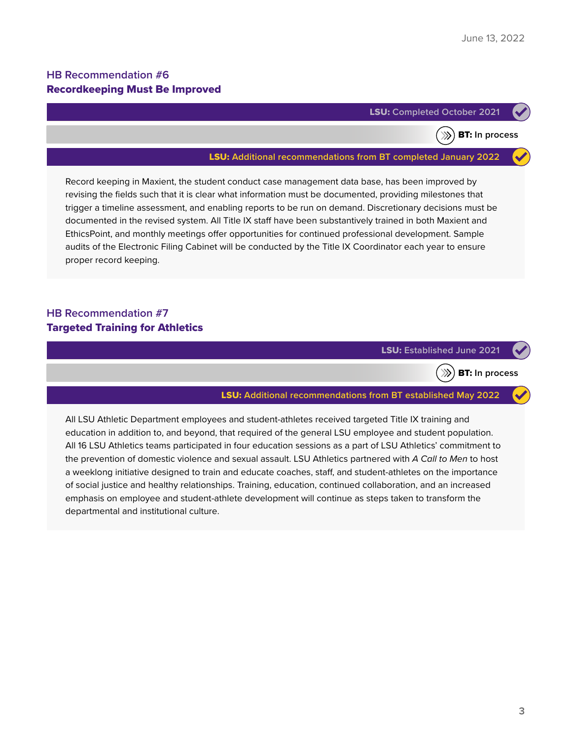BT: **In process**

#### **HB Recommendation #6**  Recordkeeping Must Be Improved



 $\gg$ 

#### LSU: **Additional recommendations from BT completed January 2022**

Record keeping in Maxient, the student conduct case management data base, has been improved by revising the fields such that it is clear what information must be documented, providing milestones that trigger a timeline assessment, and enabling reports to be run on demand. Discretionary decisions must be documented in the revised system. All Title IX staff have been substantively trained in both Maxient and EthicsPoint, and monthly meetings offer opportunities for continued professional development. Sample audits of the Electronic Filing Cabinet will be conducted by the Title IX Coordinator each year to ensure proper record keeping.

#### **HB Recommendation #7**  Targeted Training for Athletics

LSU: **Established June 2021**

 $\gg$ 

BT: **In process**

#### LSU: **Additional recommendations from BT established May 2022**

All LSU Athletic Department employees and student-athletes received targeted Title IX training and education in addition to, and beyond, that required of the general LSU employee and student population. All 16 LSU Athletics teams participated in four education sessions as a part of LSU Athletics' commitment to the prevention of domestic violence and sexual assault. LSU Athletics partnered with *A Call to Men* to host a weeklong initiative designed to train and educate coaches, staff, and student-athletes on the importance of social justice and healthy relationships. Training, education, continued collaboration, and an increased emphasis on employee and student-athlete development will continue as steps taken to transform the departmental and institutional culture.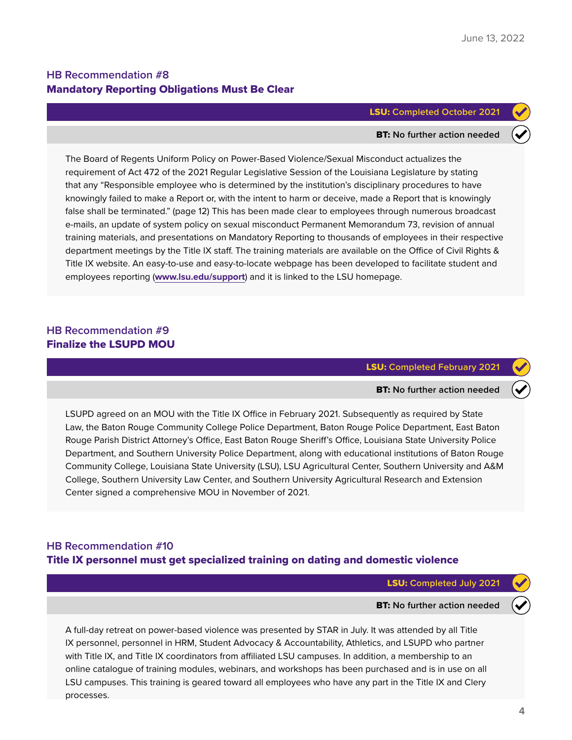#### **HB Recommendation #8**  Mandatory Reporting Obligations Must Be Clear

#### LSU: **Completed October 2021**

#### BT: **No further action needed**

The Board of Regents Uniform Policy on Power-Based Violence/Sexual Misconduct actualizes the requirement of Act 472 of the 2021 Regular Legislative Session of the Louisiana Legislature by stating that any "Responsible employee who is determined by the institution's disciplinary procedures to have knowingly failed to make a Report or, with the intent to harm or deceive, made a Report that is knowingly false shall be terminated." (page 12) This has been made clear to employees through numerous broadcast e-mails, an update of system policy on sexual misconduct Permanent Memorandum 73, revision of annual training materials, and presentations on Mandatory Reporting to thousands of employees in their respective department meetings by the Title IX staff. The training materials are available on the Office of Civil Rights & Title IX website. An easy-to-use and easy-to-locate webpage has been developed to facilitate student and employees reporting (**[www.lsu.edu/support](https://www.lsu.edu/support/)**) and it is linked to the LSU homepage.

#### **HB Recommendation #9**  Finalize the LSUPD MOU

LSU: **Completed February 2021**

#### BT: **No further action needed**

LSUPD agreed on an MOU with the Title IX Office in February 2021. Subsequently as required by State Law, the Baton Rouge Community College Police Department, Baton Rouge Police Department, East Baton Rouge Parish District Attorney's Office, East Baton Rouge Sheriff's Office, Louisiana State University Police Department, and Southern University Police Department, along with educational institutions of Baton Rouge Community College, Louisiana State University (LSU), LSU Agricultural Center, Southern University and A&M College, Southern University Law Center, and Southern University Agricultural Research and Extension Center signed a comprehensive MOU in November of 2021.

## **HB Recommendation #10**  Title IX personnel must get specialized training on dating and domestic violence

LSU: **Completed July 2021**

#### BT: **No further action needed**

A full-day retreat on power-based violence was presented by STAR in July. It was attended by all Title IX personnel, personnel in HRM, Student Advocacy & Accountability, Athletics, and LSUPD who partner with Title IX, and Title IX coordinators from affiliated LSU campuses. In addition, a membership to an online catalogue of training modules, webinars, and workshops has been purchased and is in use on all LSU campuses. This training is geared toward all employees who have any part in the Title IX and Clery processes.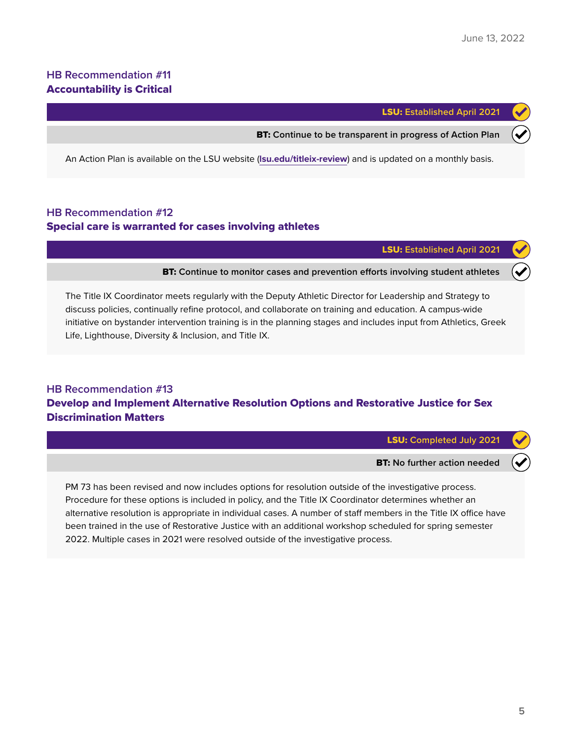#### **HB Recommendation #11**  Accountability is Critical

LSU: **Established April 2021**

BT: **Continue to be transparent in progress of Action Plan**

An Action Plan is available on the LSU website (**[lsu.edu/titleix-review](https://lsu.edu/titleix-review/)**) and is updated on a monthly basis.

#### **HB Recommendation #12**  Special care is warranted for cases involving athletes

LSU: **Established April 2021**

BT: **Continue to monitor cases and prevention efforts involving student athletes**

The Title IX Coordinator meets regularly with the Deputy Athletic Director for Leadership and Strategy to discuss policies, continually refine protocol, and collaborate on training and education. A campus-wide initiative on bystander intervention training is in the planning stages and includes input from Athletics, Greek Life, Lighthouse, Diversity & Inclusion, and Title IX.

## **HB Recommendation #13**  Develop and Implement Alternative Resolution Options and Restorative Justice for Sex Discrimination Matters

LSU: **Completed July 2021**

BT: **No further action needed**

PM 73 has been revised and now includes options for resolution outside of the investigative process. Procedure for these options is included in policy, and the Title IX Coordinator determines whether an alternative resolution is appropriate in individual cases. A number of staff members in the Title IX office have been trained in the use of Restorative Justice with an additional workshop scheduled for spring semester 2022. Multiple cases in 2021 were resolved outside of the investigative process.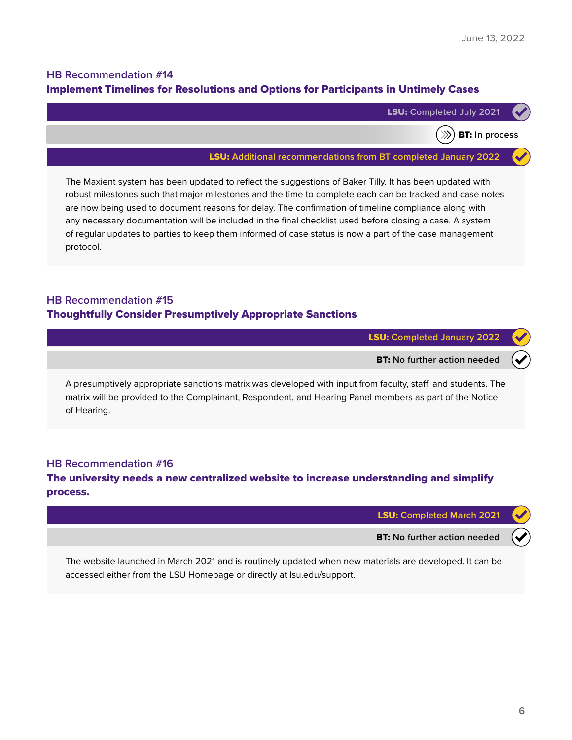BT: **In process**

## **HB Recommendation #14**  Implement Timelines for Resolutions and Options for Participants in Untimely Cases



 $\gg$ )

LSU: **Additional recommendations from BT completed January 2022**

The Maxient system has been updated to reflect the suggestions of Baker Tilly. It has been updated with robust milestones such that major milestones and the time to complete each can be tracked and case notes are now being used to document reasons for delay. The confirmation of timeline compliance along with any necessary documentation will be included in the final checklist used before closing a case. A system of regular updates to parties to keep them informed of case status is now a part of the case management protocol.

## **HB Recommendation #15**  Thoughtfully Consider Presumptively Appropriate Sanctions

LSU: **Completed January 2022**

BT: **No further action needed**

A presumptively appropriate sanctions matrix was developed with input from faculty, staff, and students. The matrix will be provided to the Complainant, Respondent, and Hearing Panel members as part of the Notice of Hearing.

#### **HB Recommendation #16**

### The university needs a new centralized website to increase understanding and simplify process.

| LSU: Completed March 2021                                                                              |  |
|--------------------------------------------------------------------------------------------------------|--|
| <b>BT:</b> No further action needed $(\blacktriangledown)$                                             |  |
| The website launched in March 2021 and is routinely undated when new materials are developed It can be |  |

The website launched in March 2021 and is routinely updated when new materials are developed. It can be accessed either from the LSU Homepage or directly at lsu.edu/support.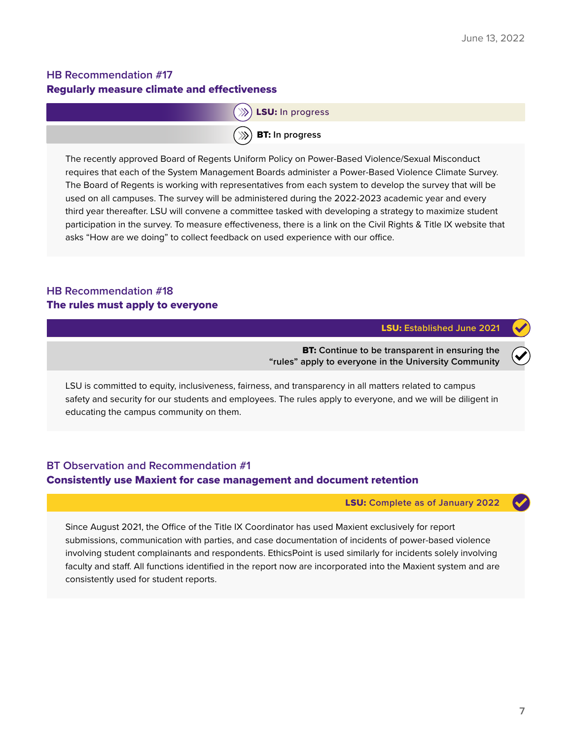## **HB Recommendation #17**  Regularly measure climate and effectiveness



The recently approved Board of Regents Uniform Policy on Power-Based Violence/Sexual Misconduct requires that each of the System Management Boards administer a Power-Based Violence Climate Survey. The Board of Regents is working with representatives from each system to develop the survey that will be used on all campuses. The survey will be administered during the 2022-2023 academic year and every third year thereafter. LSU will convene a committee tasked with developing a strategy to maximize student participation in the survey. To measure effectiveness, there is a link on the Civil Rights & Title IX website that asks "How are we doing" to collect feedback on used experience with our office.

### **HB Recommendation #18**  The rules must apply to everyone

LSU: **Established June 2021**

BT: **Continue to be transparent in ensuring the "rules" apply to everyone in the University Community**

LSU is committed to equity, inclusiveness, fairness, and transparency in all matters related to campus safety and security for our students and employees. The rules apply to everyone, and we will be diligent in educating the campus community on them.

### **BT Observation and Recommendation #1**  Consistently use Maxient for case management and document retention

LSU: **Complete as of January 2022**

Since August 2021, the Office of the Title IX Coordinator has used Maxient exclusively for report submissions, communication with parties, and case documentation of incidents of power-based violence involving student complainants and respondents. EthicsPoint is used similarly for incidents solely involving faculty and staff. All functions identified in the report now are incorporated into the Maxient system and are consistently used for student reports.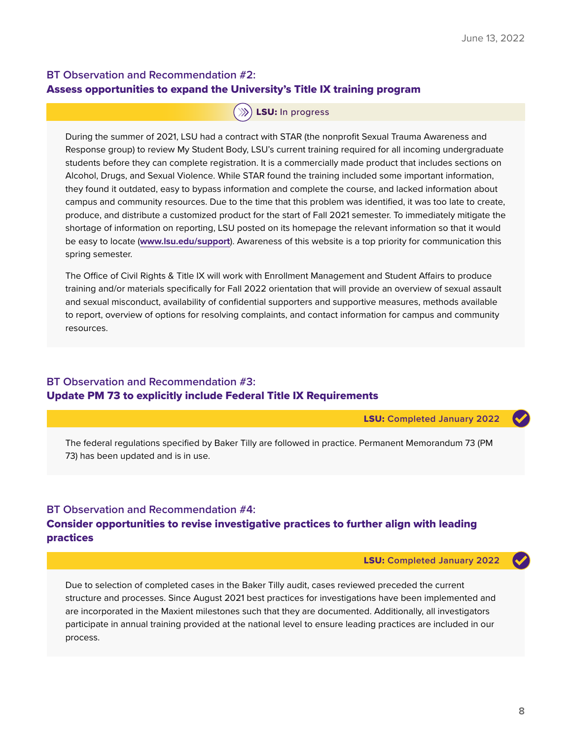## **BT Observation and Recommendation #2:** Assess opportunities to expand the University's Title IX training program

#### $(\mathbb{R})$  LSU: In progress

During the summer of 2021, LSU had a contract with STAR (the nonprofit Sexual Trauma Awareness and Response group) to review My Student Body, LSU's current training required for all incoming undergraduate students before they can complete registration. It is a commercially made product that includes sections on Alcohol, Drugs, and Sexual Violence. While STAR found the training included some important information, they found it outdated, easy to bypass information and complete the course, and lacked information about campus and community resources. Due to the time that this problem was identified, it was too late to create, produce, and distribute a customized product for the start of Fall 2021 semester. To immediately mitigate the shortage of information on reporting, LSU posted on its homepage the relevant information so that it would be easy to locate (**[www.lsu.edu/support](https://www.lsu.edu/support/)**). Awareness of this website is a top priority for communication this spring semester.

The Office of Civil Rights & Title IX will work with Enrollment Management and Student Affairs to produce training and/or materials specifically for Fall 2022 orientation that will provide an overview of sexual assault and sexual misconduct, availability of confidential supporters and supportive measures, methods available to report, overview of options for resolving complaints, and contact information for campus and community resources.

#### **BT Observation and Recommendation #3:** Update PM 73 to explicitly include Federal Title IX Requirements

LSU: **Completed January 2022**

The federal regulations specified by Baker Tilly are followed in practice. Permanent Memorandum 73 (PM 73) has been updated and is in use.

### **BT Observation and Recommendation #4:** Consider opportunities to revise investigative practices to further align with leading practices

LSU: **Completed January 2022**

Due to selection of completed cases in the Baker Tilly audit, cases reviewed preceded the current structure and processes. Since August 2021 best practices for investigations have been implemented and are incorporated in the Maxient milestones such that they are documented. Additionally, all investigators participate in annual training provided at the national level to ensure leading practices are included in our process.